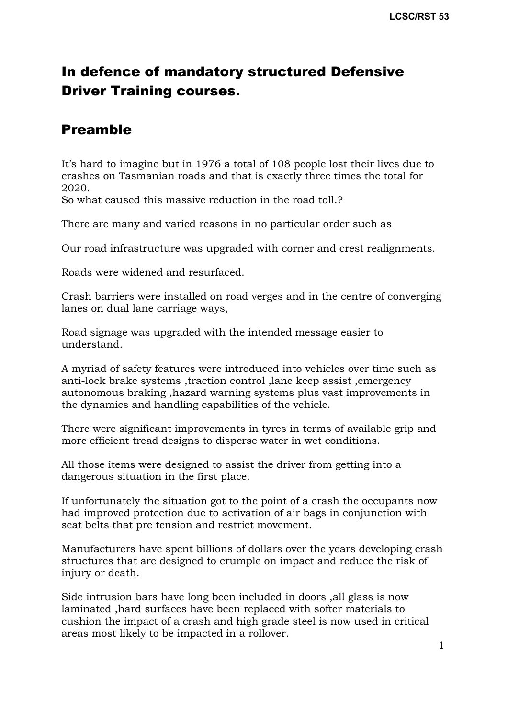# In defence of mandatory structured Defensive Driver Training courses.

## Preamble

It's hard to imagine but in 1976 a total of 108 people lost their lives due to crashes on Tasmanian roads and that is exactly three times the total for 2020.

So what caused this massive reduction in the road toll.?

There are many and varied reasons in no particular order such as

Our road infrastructure was upgraded with corner and crest realignments.

Roads were widened and resurfaced.

Crash barriers were installed on road verges and in the centre of converging lanes on dual lane carriage ways,

Road signage was upgraded with the intended message easier to understand.

A myriad of safety features were introduced into vehicles over time such as anti-lock brake systems ,traction control ,lane keep assist ,emergency autonomous braking ,hazard warning systems plus vast improvements in the dynamics and handling capabilities of the vehicle.

There were significant improvements in tyres in terms of available grip and more efficient tread designs to disperse water in wet conditions.

All those items were designed to assist the driver from getting into a dangerous situation in the first place.

If unfortunately the situation got to the point of a crash the occupants now had improved protection due to activation of air bags in conjunction with seat belts that pre tension and restrict movement.

Manufacturers have spent billions of dollars over the years developing crash structures that are designed to crumple on impact and reduce the risk of injury or death.

Side intrusion bars have long been included in doors ,all glass is now laminated ,hard surfaces have been replaced with softer materials to cushion the impact of a crash and high grade steel is now used in critical areas most likely to be impacted in a rollover.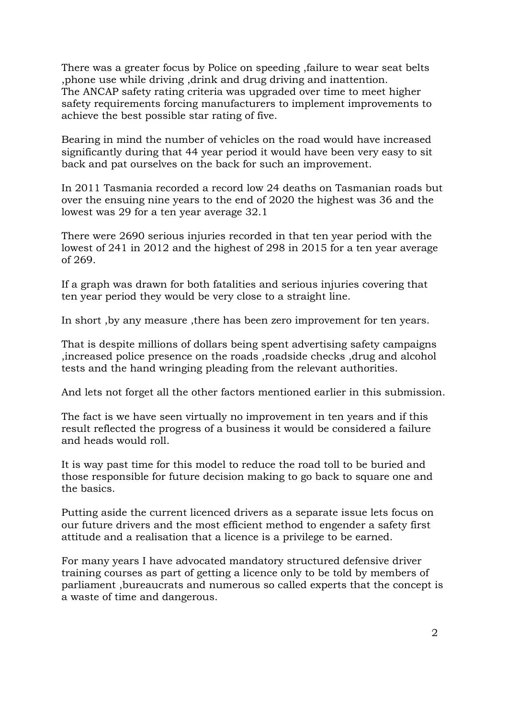There was a greater focus by Police on speeding ,failure to wear seat belts ,phone use while driving ,drink and drug driving and inattention. The ANCAP safety rating criteria was upgraded over time to meet higher safety requirements forcing manufacturers to implement improvements to achieve the best possible star rating of five.

Bearing in mind the number of vehicles on the road would have increased significantly during that 44 year period it would have been very easy to sit back and pat ourselves on the back for such an improvement.

In 2011 Tasmania recorded a record low 24 deaths on Tasmanian roads but over the ensuing nine years to the end of 2020 the highest was 36 and the lowest was 29 for a ten year average 32.1

There were 2690 serious injuries recorded in that ten year period with the lowest of 241 in 2012 and the highest of 298 in 2015 for a ten year average of 269.

If a graph was drawn for both fatalities and serious injuries covering that ten year period they would be very close to a straight line.

In short ,by any measure ,there has been zero improvement for ten years.

That is despite millions of dollars being spent advertising safety campaigns ,increased police presence on the roads ,roadside checks ,drug and alcohol tests and the hand wringing pleading from the relevant authorities.

And lets not forget all the other factors mentioned earlier in this submission.

The fact is we have seen virtually no improvement in ten years and if this result reflected the progress of a business it would be considered a failure and heads would roll.

It is way past time for this model to reduce the road toll to be buried and those responsible for future decision making to go back to square one and the basics.

Putting aside the current licenced drivers as a separate issue lets focus on our future drivers and the most efficient method to engender a safety first attitude and a realisation that a licence is a privilege to be earned.

For many years I have advocated mandatory structured defensive driver training courses as part of getting a licence only to be told by members of parliament ,bureaucrats and numerous so called experts that the concept is a waste of time and dangerous.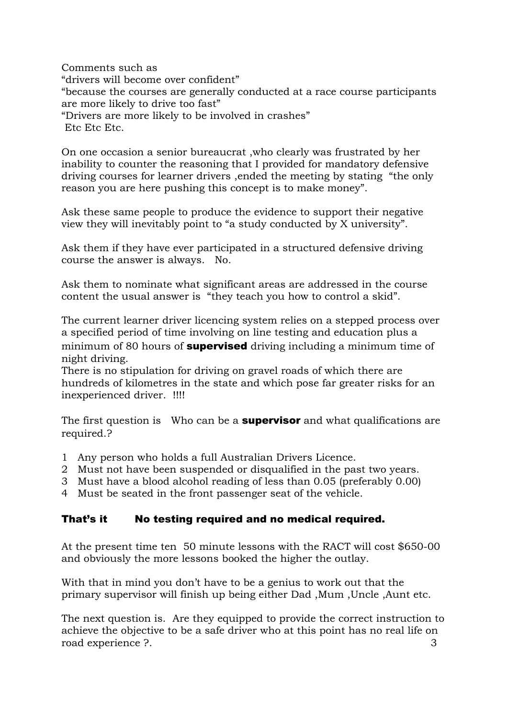Comments such as "drivers will become over confident" "because the courses are generally conducted at a race course participants are more likely to drive too fast" "Drivers are more likely to be involved in crashes" Etc Etc Etc.

On one occasion a senior bureaucrat ,who clearly was frustrated by her inability to counter the reasoning that I provided for mandatory defensive driving courses for learner drivers ,ended the meeting by stating "the only reason you are here pushing this concept is to make money".

Ask these same people to produce the evidence to support their negative view they will inevitably point to "a study conducted by X university".

Ask them if they have ever participated in a structured defensive driving course the answer is always. No.

Ask them to nominate what significant areas are addressed in the course content the usual answer is "they teach you how to control a skid".

The current learner driver licencing system relies on a stepped process over a specified period of time involving on line testing and education plus a minimum of 80 hours of **supervised** driving including a minimum time of night driving.

There is no stipulation for driving on gravel roads of which there are hundreds of kilometres in the state and which pose far greater risks for an inexperienced driver. !!!!

The first question is Who can be a **supervisor** and what qualifications are required.?

- 1 Any person who holds a full Australian Drivers Licence.
- 2 Must not have been suspended or disqualified in the past two years.
- 3 Must have a blood alcohol reading of less than 0.05 (preferably 0.00)
- 4 Must be seated in the front passenger seat of the vehicle.

#### That's it No testing required and no medical required.

At the present time ten 50 minute lessons with the RACT will cost \$650-00 and obviously the more lessons booked the higher the outlay.

With that in mind you don't have to be a genius to work out that the primary supervisor will finish up being either Dad ,Mum ,Uncle ,Aunt etc.

The next question is. Are they equipped to provide the correct instruction to achieve the objective to be a safe driver who at this point has no real life on road experience ?. 3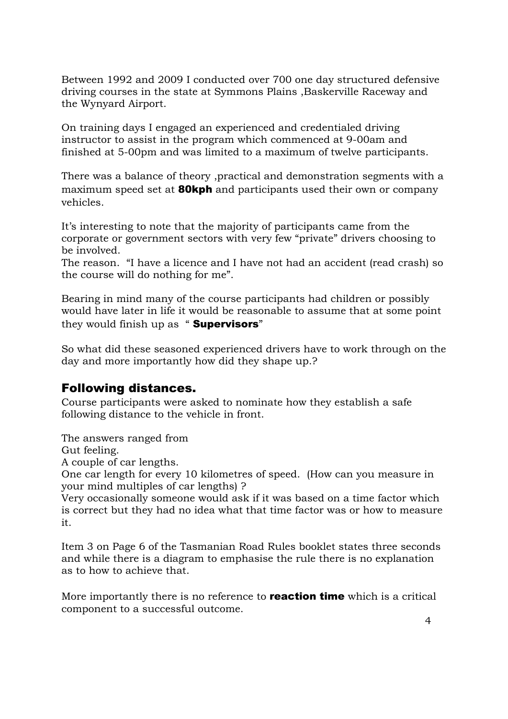Between 1992 and 2009 I conducted over 700 one day structured defensive driving courses in the state at Symmons Plains ,Baskerville Raceway and the Wynyard Airport.

On training days I engaged an experienced and credentialed driving instructor to assist in the program which commenced at 9-00am and finished at 5-00pm and was limited to a maximum of twelve participants.

There was a balance of theory ,practical and demonstration segments with a maximum speed set at **80kph** and participants used their own or company vehicles.

It's interesting to note that the majority of participants came from the corporate or government sectors with very few "private" drivers choosing to be involved.

The reason. "I have a licence and I have not had an accident (read crash) so the course will do nothing for me".

Bearing in mind many of the course participants had children or possibly would have later in life it would be reasonable to assume that at some point they would finish up as "**Supervisors**"

So what did these seasoned experienced drivers have to work through on the day and more importantly how did they shape up.?

#### Following distances.

Course participants were asked to nominate how they establish a safe following distance to the vehicle in front.

The answers ranged from

Gut feeling.

A couple of car lengths.

One car length for every 10 kilometres of speed. (How can you measure in your mind multiples of car lengths) ?

Very occasionally someone would ask if it was based on a time factor which is correct but they had no idea what that time factor was or how to measure it.

Item 3 on Page 6 of the Tasmanian Road Rules booklet states three seconds and while there is a diagram to emphasise the rule there is no explanation as to how to achieve that.

More importantly there is no reference to **reaction time** which is a critical component to a successful outcome.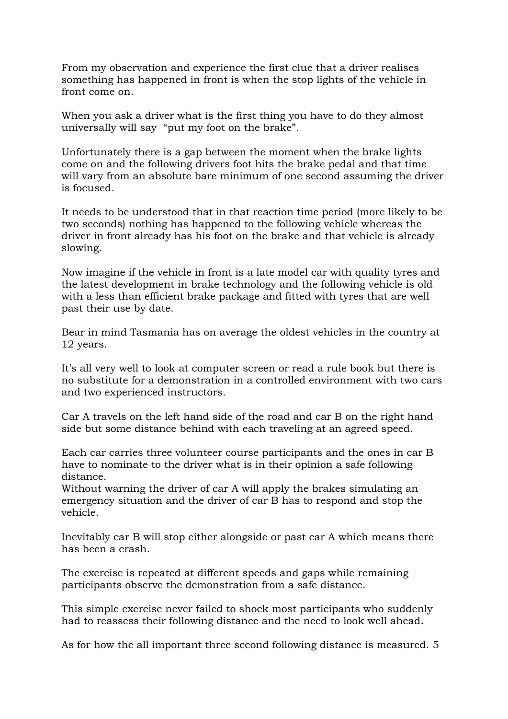From my observation and experience the first clue that a driver realises something has happened in front is when the stop lights of the vehicle in front come on.

When you ask a driver what is the first thing you have to do they almost universally will say "put my foot on the brake".

Unfortunately there is a gap between the moment when the brake lights come on and the following drivers foot hits the brake pedal and that time will vary from an absolute bare minimum of one second assuming the driver is focused.

It needs to be understood that in that reaction time period (more likely to be two seconds) nothing has happened to the following vehicle whereas the driver in front already has his foot on the brake and that vehicle is already slowing.

Now imagine if the vehicle in front is a late model car with quality tyres and the latest development in brake technology and the following vehicle is old with a less than efficient brake package and fitted with tyres that are well past their use by date.

Bear in mind Tasmania has on average the oldest vehicles in the country at 12 years.

It's all very well to look at computer screen or read a rule book but there is no substitute for a demonstration in a controlled environment with two cars and two experienced instructors.

Car A travels on the left hand side of the road and car B on the right hand side but some distance behind with each traveling at an agreed speed.

Each car carries three volunteer course participants and the ones in car B have to nominate to the driver what is in their opinion a safe following distance.

Without warning the driver of car A will apply the brakes simulating an emergency situation and the driver of car B has to respond and stop the vehicle.

Inevitably car B will stop either alongside or past car A which means there has been a crash.

The exercise is repeated at different speeds and gaps while remaining participants observe the demonstration from a safe distance.

This simple exercise never failed to shock most participants who suddenly had to reassess their following distance and the need to look well ahead.

As for how the all important three second following distance is measured. 5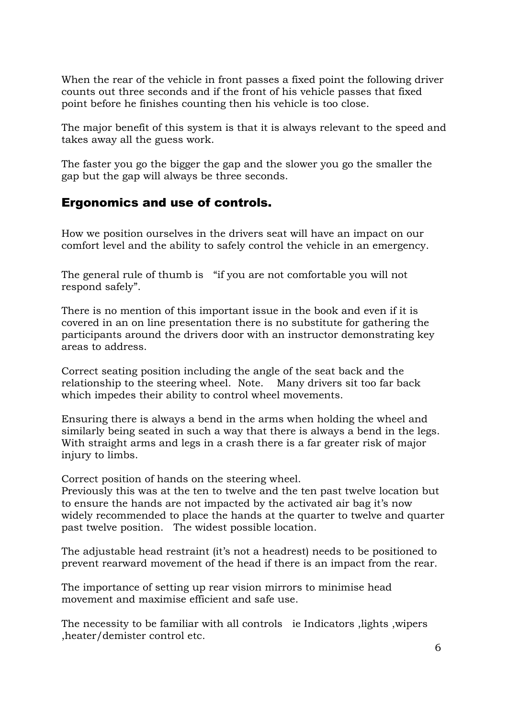When the rear of the vehicle in front passes a fixed point the following driver counts out three seconds and if the front of his vehicle passes that fixed point before he finishes counting then his vehicle is too close.

The major benefit of this system is that it is always relevant to the speed and takes away all the guess work.

The faster you go the bigger the gap and the slower you go the smaller the gap but the gap will always be three seconds.

#### Ergonomics and use of controls.

How we position ourselves in the drivers seat will have an impact on our comfort level and the ability to safely control the vehicle in an emergency.

The general rule of thumb is "if you are not comfortable you will not respond safely".

There is no mention of this important issue in the book and even if it is covered in an on line presentation there is no substitute for gathering the participants around the drivers door with an instructor demonstrating key areas to address.

Correct seating position including the angle of the seat back and the relationship to the steering wheel. Note. Many drivers sit too far back which impedes their ability to control wheel movements.

Ensuring there is always a bend in the arms when holding the wheel and similarly being seated in such a way that there is always a bend in the legs. With straight arms and legs in a crash there is a far greater risk of major injury to limbs.

Correct position of hands on the steering wheel.

Previously this was at the ten to twelve and the ten past twelve location but to ensure the hands are not impacted by the activated air bag it's now widely recommended to place the hands at the quarter to twelve and quarter past twelve position. The widest possible location.

The adjustable head restraint (it's not a headrest) needs to be positioned to prevent rearward movement of the head if there is an impact from the rear.

The importance of setting up rear vision mirrors to minimise head movement and maximise efficient and safe use.

The necessity to be familiar with all controls ie Indicators ,lights ,wipers ,heater/demister control etc.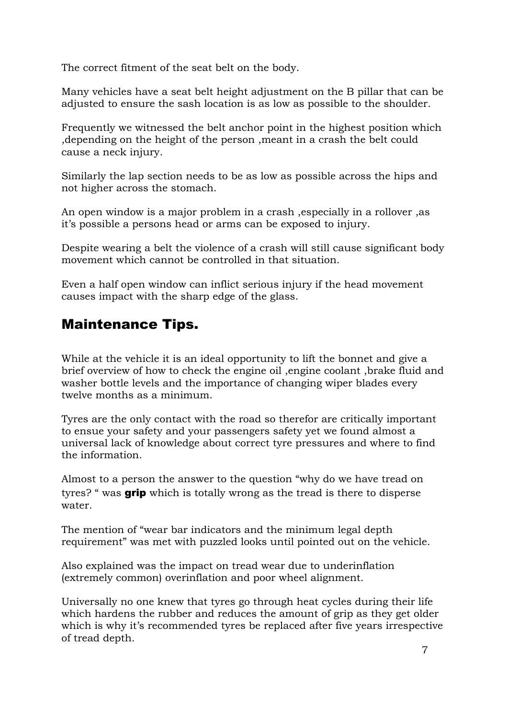The correct fitment of the seat belt on the body.

Many vehicles have a seat belt height adjustment on the B pillar that can be adjusted to ensure the sash location is as low as possible to the shoulder.

Frequently we witnessed the belt anchor point in the highest position which ,depending on the height of the person ,meant in a crash the belt could cause a neck injury.

Similarly the lap section needs to be as low as possible across the hips and not higher across the stomach.

An open window is a major problem in a crash ,especially in a rollover ,as it's possible a persons head or arms can be exposed to injury.

Despite wearing a belt the violence of a crash will still cause significant body movement which cannot be controlled in that situation.

Even a half open window can inflict serious injury if the head movement causes impact with the sharp edge of the glass.

# Maintenance Tips.

While at the vehicle it is an ideal opportunity to lift the bonnet and give a brief overview of how to check the engine oil ,engine coolant ,brake fluid and washer bottle levels and the importance of changing wiper blades every twelve months as a minimum.

Tyres are the only contact with the road so therefor are critically important to ensue your safety and your passengers safety yet we found almost a universal lack of knowledge about correct tyre pressures and where to find the information.

Almost to a person the answer to the question "why do we have tread on tyres? " was **grip** which is totally wrong as the tread is there to disperse water.

The mention of "wear bar indicators and the minimum legal depth requirement" was met with puzzled looks until pointed out on the vehicle.

Also explained was the impact on tread wear due to underinflation (extremely common) overinflation and poor wheel alignment.

Universally no one knew that tyres go through heat cycles during their life which hardens the rubber and reduces the amount of grip as they get older which is why it's recommended tyres be replaced after five years irrespective of tread depth.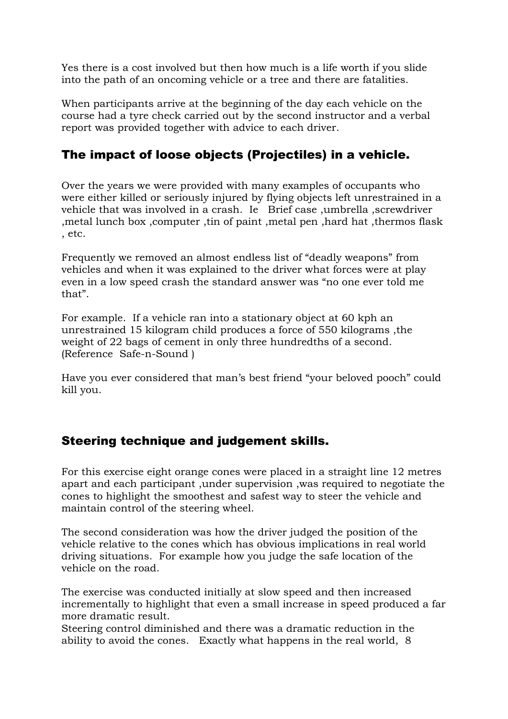Yes there is a cost involved but then how much is a life worth if you slide into the path of an oncoming vehicle or a tree and there are fatalities.

When participants arrive at the beginning of the day each vehicle on the course had a tyre check carried out by the second instructor and a verbal report was provided together with advice to each driver.

## The impact of loose objects (Projectiles) in a vehicle.

Over the years we were provided with many examples of occupants who were either killed or seriously injured by flying objects left unrestrained in a vehicle that was involved in a crash. Ie Brief case ,umbrella ,screwdriver ,metal lunch box ,computer ,tin of paint ,metal pen ,hard hat ,thermos flask , etc.

Frequently we removed an almost endless list of "deadly weapons" from vehicles and when it was explained to the driver what forces were at play even in a low speed crash the standard answer was "no one ever told me that".

For example. If a vehicle ran into a stationary object at 60 kph an unrestrained 15 kilogram child produces a force of 550 kilograms ,the weight of 22 bags of cement in only three hundredths of a second. (Reference Safe-n-Sound )

Have you ever considered that man's best friend "your beloved pooch" could kill you.

## Steering technique and judgement skills.

For this exercise eight orange cones were placed in a straight line 12 metres apart and each participant ,under supervision ,was required to negotiate the cones to highlight the smoothest and safest way to steer the vehicle and maintain control of the steering wheel.

The second consideration was how the driver judged the position of the vehicle relative to the cones which has obvious implications in real world driving situations. For example how you judge the safe location of the vehicle on the road.

The exercise was conducted initially at slow speed and then increased incrementally to highlight that even a small increase in speed produced a far more dramatic result.

Steering control diminished and there was a dramatic reduction in the ability to avoid the cones. Exactly what happens in the real world, 8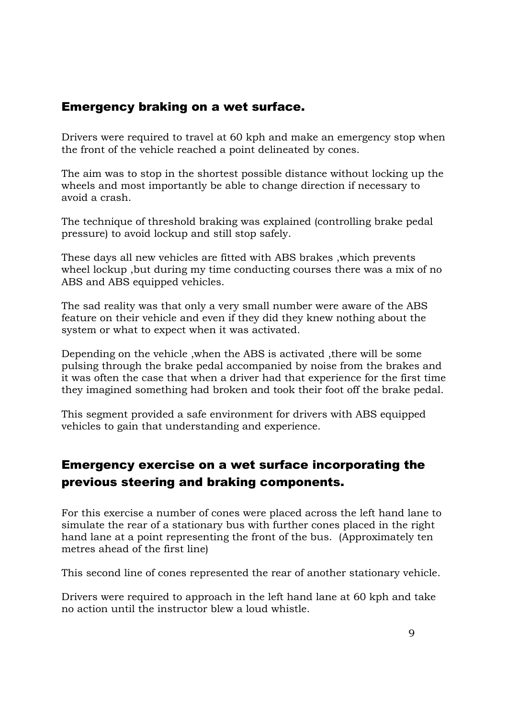### Emergency braking on a wet surface.

Drivers were required to travel at 60 kph and make an emergency stop when the front of the vehicle reached a point delineated by cones.

The aim was to stop in the shortest possible distance without locking up the wheels and most importantly be able to change direction if necessary to avoid a crash.

The technique of threshold braking was explained (controlling brake pedal pressure) to avoid lockup and still stop safely.

These days all new vehicles are fitted with ABS brakes ,which prevents wheel lockup ,but during my time conducting courses there was a mix of no ABS and ABS equipped vehicles.

The sad reality was that only a very small number were aware of the ABS feature on their vehicle and even if they did they knew nothing about the system or what to expect when it was activated.

Depending on the vehicle ,when the ABS is activated ,there will be some pulsing through the brake pedal accompanied by noise from the brakes and it was often the case that when a driver had that experience for the first time they imagined something had broken and took their foot off the brake pedal.

This segment provided a safe environment for drivers with ABS equipped vehicles to gain that understanding and experience.

## Emergency exercise on a wet surface incorporating the previous steering and braking components.

For this exercise a number of cones were placed across the left hand lane to simulate the rear of a stationary bus with further cones placed in the right hand lane at a point representing the front of the bus. (Approximately ten metres ahead of the first line)

This second line of cones represented the rear of another stationary vehicle.

Drivers were required to approach in the left hand lane at 60 kph and take no action until the instructor blew a loud whistle.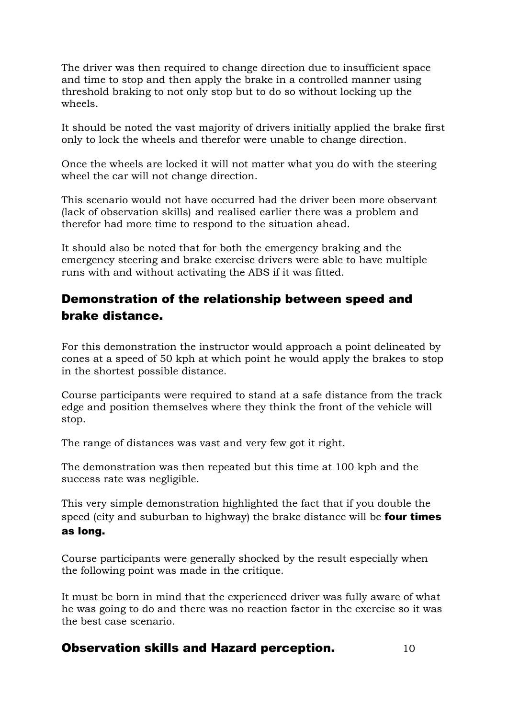The driver was then required to change direction due to insufficient space and time to stop and then apply the brake in a controlled manner using threshold braking to not only stop but to do so without locking up the wheels.

It should be noted the vast majority of drivers initially applied the brake first only to lock the wheels and therefor were unable to change direction.

Once the wheels are locked it will not matter what you do with the steering wheel the car will not change direction.

This scenario would not have occurred had the driver been more observant (lack of observation skills) and realised earlier there was a problem and therefor had more time to respond to the situation ahead.

It should also be noted that for both the emergency braking and the emergency steering and brake exercise drivers were able to have multiple runs with and without activating the ABS if it was fitted.

## Demonstration of the relationship between speed and brake distance.

For this demonstration the instructor would approach a point delineated by cones at a speed of 50 kph at which point he would apply the brakes to stop in the shortest possible distance.

Course participants were required to stand at a safe distance from the track edge and position themselves where they think the front of the vehicle will stop.

The range of distances was vast and very few got it right.

The demonstration was then repeated but this time at 100 kph and the success rate was negligible.

This very simple demonstration highlighted the fact that if you double the speed (city and suburban to highway) the brake distance will be **four times** as long.

Course participants were generally shocked by the result especially when the following point was made in the critique.

It must be born in mind that the experienced driver was fully aware of what he was going to do and there was no reaction factor in the exercise so it was the best case scenario.

#### Observation skills and Hazard perception.  $10$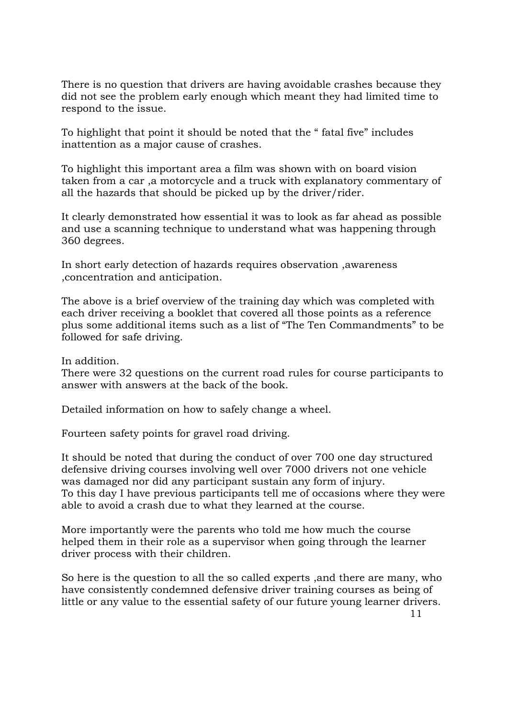There is no question that drivers are having avoidable crashes because they did not see the problem early enough which meant they had limited time to respond to the issue.

To highlight that point it should be noted that the " fatal five" includes inattention as a major cause of crashes.

To highlight this important area a film was shown with on board vision taken from a car ,a motorcycle and a truck with explanatory commentary of all the hazards that should be picked up by the driver/rider.

It clearly demonstrated how essential it was to look as far ahead as possible and use a scanning technique to understand what was happening through 360 degrees.

In short early detection of hazards requires observation ,awareness ,concentration and anticipation.

The above is a brief overview of the training day which was completed with each driver receiving a booklet that covered all those points as a reference plus some additional items such as a list of "The Ten Commandments" to be followed for safe driving.

In addition.

There were 32 questions on the current road rules for course participants to answer with answers at the back of the book.

Detailed information on how to safely change a wheel.

Fourteen safety points for gravel road driving.

It should be noted that during the conduct of over 700 one day structured defensive driving courses involving well over 7000 drivers not one vehicle was damaged nor did any participant sustain any form of injury. To this day I have previous participants tell me of occasions where they were able to avoid a crash due to what they learned at the course.

More importantly were the parents who told me how much the course helped them in their role as a supervisor when going through the learner driver process with their children.

So here is the question to all the so called experts ,and there are many, who have consistently condemned defensive driver training courses as being of little or any value to the essential safety of our future young learner drivers.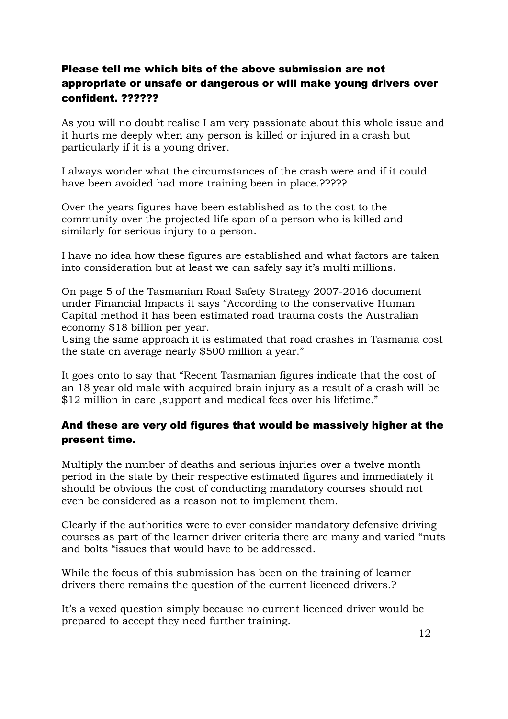#### confident. ?????? Please tell me which bits of the above submission are not appropriate or unsafe or dangerous or will make young drivers over

As you will no doubt realise I am very passionate about this whole issue and it hurts me deeply when any person is killed or injured in a crash but particularly if it is a young driver.

I always wonder what the circumstances of the crash were and if it could have been avoided had more training been in place.?????

Over the years figures have been established as to the cost to the community over the projected life span of a person who is killed and similarly for serious injury to a person.

I have no idea how these figures are established and what factors are taken into consideration but at least we can safely say it's multi millions.

On page 5 of the Tasmanian Road Safety Strategy 2007-2016 document under Financial Impacts it says "According to the conservative Human Capital method it has been estimated road trauma costs the Australian economy \$18 billion per year.

Using the same approach it is estimated that road crashes in Tasmania cost the state on average nearly \$500 million a year."

It goes onto to say that "Recent Tasmanian figures indicate that the cost of an 18 year old male with acquired brain injury as a result of a crash will be \$12 million in care ,support and medical fees over his lifetime."

#### present time. And these are very old figures that would be massively higher at the

Multiply the number of deaths and serious injuries over a twelve month period in the state by their respective estimated figures and immediately it should be obvious the cost of conducting mandatory courses should not even be considered as a reason not to implement them.

Clearly if the authorities were to ever consider mandatory defensive driving courses as part of the learner driver criteria there are many and varied "nuts and bolts "issues that would have to be addressed.

While the focus of this submission has been on the training of learner drivers there remains the question of the current licenced drivers.?

It's a vexed question simply because no current licenced driver would be prepared to accept they need further training.